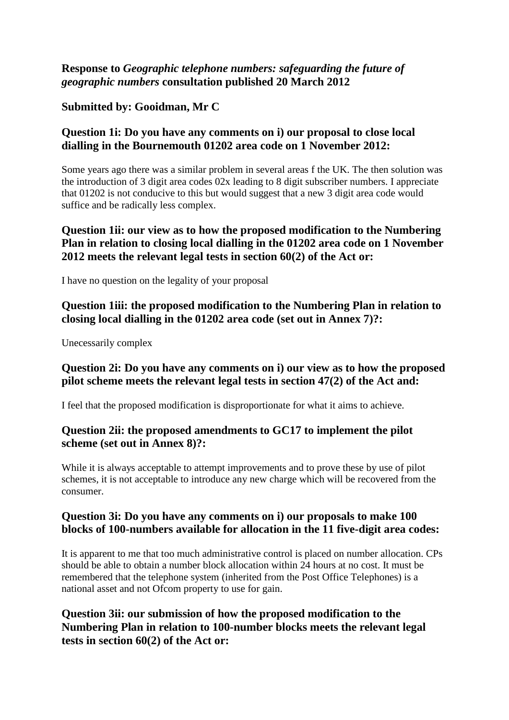### **Response to** *Geographic telephone numbers: safeguarding the future of geographic numbers* **consultation published 20 March 2012**

## **Submitted by: Gooidman, Mr C**

## **Question 1i: Do you have any comments on i) our proposal to close local dialling in the Bournemouth 01202 area code on 1 November 2012:**

Some years ago there was a similar problem in several areas f the UK. The then solution was the introduction of 3 digit area codes 02x leading to 8 digit subscriber numbers. I appreciate that 01202 is not conducive to this but would suggest that a new 3 digit area code would suffice and be radically less complex.

### **Question 1ii: our view as to how the proposed modification to the Numbering Plan in relation to closing local dialling in the 01202 area code on 1 November 2012 meets the relevant legal tests in section 60(2) of the Act or:**

I have no question on the legality of your proposal

### **Question 1iii: the proposed modification to the Numbering Plan in relation to closing local dialling in the 01202 area code (set out in Annex 7)?:**

Unecessarily complex

### **Question 2i: Do you have any comments on i) our view as to how the proposed pilot scheme meets the relevant legal tests in section 47(2) of the Act and:**

I feel that the proposed modification is disproportionate for what it aims to achieve.

### **Question 2ii: the proposed amendments to GC17 to implement the pilot scheme (set out in Annex 8)?:**

While it is always acceptable to attempt improvements and to prove these by use of pilot schemes, it is not acceptable to introduce any new charge which will be recovered from the consumer.

### **Question 3i: Do you have any comments on i) our proposals to make 100 blocks of 100-numbers available for allocation in the 11 five-digit area codes:**

It is apparent to me that too much administrative control is placed on number allocation. CPs should be able to obtain a number block allocation within 24 hours at no cost. It must be remembered that the telephone system (inherited from the Post Office Telephones) is a national asset and not Ofcom property to use for gain.

# **Question 3ii: our submission of how the proposed modification to the Numbering Plan in relation to 100-number blocks meets the relevant legal tests in section 60(2) of the Act or:**